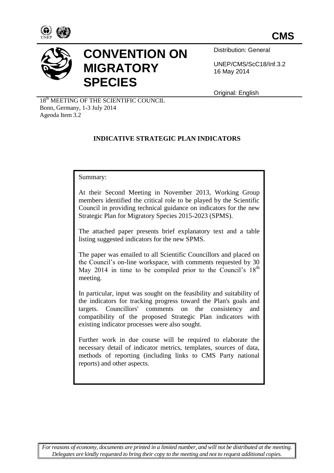



# **CONVENTION ON MIGRATORY SPECIES**

Distribution: General

UNEP/CMS/ScC18/Inf.3.2 16 May 2014

Original: English

18<sup>th</sup> MEETING OF THE SCIENTIFIC COUNCIL Bonn, Germany, 1-3 July 2014 Agenda Item 3.2

# **INDICATIVE STRATEGIC PLAN INDICATORS**

Summary:

At their Second Meeting in November 2013, Working Group members identified the critical role to be played by the Scientific Council in providing technical guidance on indicators for the new Strategic Plan for Migratory Species 2015-2023 (SPMS).

The attached paper presents brief explanatory text and a table listing suggested indicators for the new SPMS.

The paper was emailed to all Scientific Councillors and placed on the Council's on-line workspace, with comments requested by 30 May 2014 in time to be compiled prior to the Council's  $18<sup>th</sup>$ meeting.

In particular, input was sought on the feasibility and suitability of the indicators for tracking progress toward the Plan's goals and targets. Councillors' comments on the consistency and compatibility of the proposed Strategic Plan indicators with existing indicator processes were also sought.

Further work in due course will be required to elaborate the necessary detail of indicator metrics, templates, sources of data, methods of reporting (including links to CMS Party national reports) and other aspects.

*For reasons of economy, documents are printed in a limited number, and will not be distributed at the meeting. Delegates are kindly requested to bring their copy to the meeting and not to request additional copies.*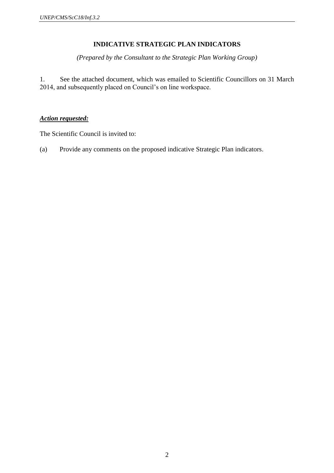## **INDICATIVE STRATEGIC PLAN INDICATORS**

*(Prepared by the Consultant to the Strategic Plan Working Group)*

1. See the attached document, which was emailed to Scientific Councillors on 31 March 2014, and subsequently placed on Council's on line workspace.

## *Action requested:*

The Scientific Council is invited to:

(a) Provide any comments on the proposed indicative Strategic Plan indicators.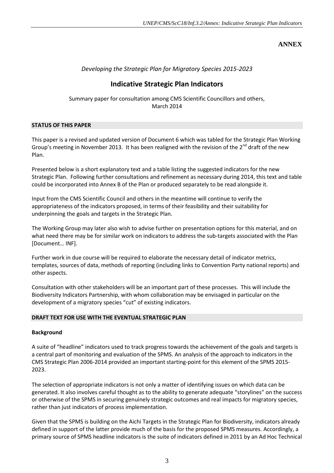**ANNEX**

### *Developing the Strategic Plan for Migratory Species 2015-2023*

## **Indicative Strategic Plan Indicators**

Summary paper for consultation among CMS Scientific Councillors and others, March 2014

#### **STATUS OF THIS PAPER**

This paper is a revised and updated version of Document 6 which was tabled for the Strategic Plan Working Group's meeting in November 2013. It has been realigned with the revision of the 2<sup>nd</sup> draft of the new Plan.

Presented below is a short explanatory text and a table listing the suggested indicators for the new Strategic Plan. Following further consultations and refinement as necessary during 2014, this text and table could be incorporated into Annex B of the Plan or produced separately to be read alongside it.

Input from the CMS Scientific Council and others in the meantime will continue to verify the appropriateness of the indicators proposed, in terms of their feasibility and their suitability for underpinning the goals and targets in the Strategic Plan.

The Working Group may later also wish to advise further on presentation options for this material, and on what need there may be for similar work on indicators to address the sub-targets associated with the Plan [Document… INF].

Further work in due course will be required to elaborate the necessary detail of indicator metrics, templates, sources of data, methods of reporting (including links to Convention Party national reports) and other aspects.

Consultation with other stakeholders will be an important part of these processes. This will include the Biodiversity Indicators Partnership, with whom collaboration may be envisaged in particular on the development of a migratory species "cut" of existing indicators.

#### **DRAFT TEXT FOR USE WITH THE EVENTUAL STRATEGIC PLAN**

#### **Background**

A suite of "headline" indicators used to track progress towards the achievement of the goals and targets is a central part of monitoring and evaluation of the SPMS. An analysis of the approach to indicators in the CMS Strategic Plan 2006-2014 provided an important starting-point for this element of the SPMS 2015- 2023.

The selection of appropriate indicators is not only a matter of identifying issues on which data can be generated. It also involves careful thought as to the ability to generate adequate "storylines" on the success or otherwise of the SPMS in securing genuinely strategic outcomes and real impacts for migratory species, rather than just indicators of process implementation.

Given that the SPMS is building on the Aichi Targets in the Strategic Plan for Biodiversity, indicators already defined in support of the latter provide much of the basis for the proposed SPMS measures. Accordingly, a primary source of SPMS headline indicators is the suite of indicators defined in 2011 by an Ad Hoc Technical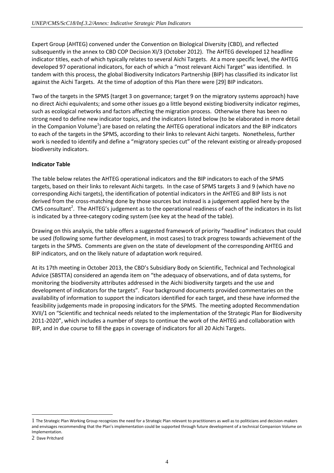Expert Group (AHTEG) convened under the Convention on Biological Diversity (CBD), and reflected subsequently in the annex to CBD COP Decision XI/3 (October 2012). The AHTEG developed 12 headline indicator titles, each of which typically relates to several Aichi Targets. At a more specific level, the AHTEG developed 97 operational indicators, for each of which a "most relevant Aichi Target" was identified. In tandem with this process, the global Biodiversity Indicators Partnership (BIP) has classified its indicator list against the Aichi Targets. At the time of adoption of this Plan there were [29] BIP indicators.

Two of the targets in the SPMS (target 3 on governance; target 9 on the migratory systems approach) have no direct Aichi equivalents; and some other issues go a little beyond existing biodiversity indicator regimes, such as ecological networks and factors affecting the migration process. Otherwise there has been no strong need to define new indicator topics, and the indicators listed below (to be elaborated in more detail in the Companion Volume<sup>1</sup>) are based on relating the AHTEG operational indicators and the BIP indicators to each of the targets in the SPMS, according to their links to relevant Aichi targets. Nonetheless, further work is needed to identify and define a "migratory species cut" of the relevant existing or already-proposed biodiversity indicators.

#### **Indicator Table**

The table below relates the AHTEG operational indicators and the BIP indicators to each of the SPMS targets, based on their links to relevant Aichi targets. In the case of SPMS targets 3 and 9 (which have no corresponding Aichi targets), the identification of potential indicators in the AHTEG and BIP lists is not derived from the cross-matching done by those sources but instead is a judgement applied here by the CMS consultant<sup>2</sup>. The AHTEG's judgement as to the operational readiness of each of the indicators in its list is indicated by a three-category coding system (see key at the head of the table).

Drawing on this analysis, the table offers a suggested framework of priority "headline" indicators that could be used (following some further development, in most cases) to track progress towards achievement of the targets in the SPMS. Comments are given on the state of development of the corresponding AHTEG and BIP indicators, and on the likely nature of adaptation work required.

At its 17th meeting in October 2013, the CBD's Subsidiary Body on Scientific, Technical and Technological Advice (SBSTTA) considered an agenda item on "the adequacy of observations, and of data systems, for monitoring the biodiversity attributes addressed in the Aichi biodiversity targets and the use and development of indicators for the targets". Four background documents provided commentaries on the availability of information to support the indicators identified for each target, and these have informed the feasibility judgements made in proposing indicators for the SPMS. The meeting adopted Recommendation XVII/1 on "Scientific and technical needs related to the implementation of the Strategic Plan for Biodiversity 2011-2020", which includes a number of steps to continue the work of the AHTEG and collaboration with BIP, and in due course to fill the gaps in coverage of indicators for all 20 Aichi Targets.

-

<sup>1</sup> The Strategic Plan Working Group recognizes the need for a Strategic Plan relevant to practitioners as well as to politicians and decision-makers and envisages recommending that the Plan's implementation could be supported through future development of a technical Companion Volume on Implementation.

<sup>2</sup> Dave Pritchard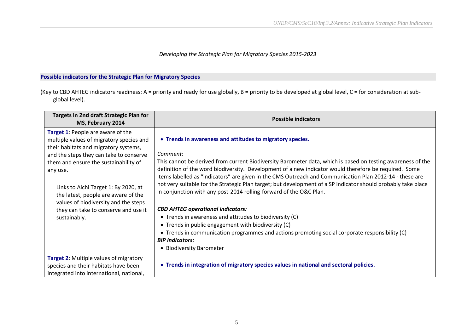#### *Developing the Strategic Plan for Migratory Species 2015-2023*

#### **Possible indicators for the Strategic Plan for Migratory Species**

(Key to CBD AHTEG indicators readiness: A = priority and ready for use globally, B = priority to be developed at global level, C = for consideration at subglobal level).

| Targets in 2nd draft Strategic Plan for<br>MS, February 2014                                                                                                                                                                                                                                                                                  | <b>Possible indicators</b>                                                                                                                                                                                                                                                                                                                                                                                                                                                                                                                                                                      |
|-----------------------------------------------------------------------------------------------------------------------------------------------------------------------------------------------------------------------------------------------------------------------------------------------------------------------------------------------|-------------------------------------------------------------------------------------------------------------------------------------------------------------------------------------------------------------------------------------------------------------------------------------------------------------------------------------------------------------------------------------------------------------------------------------------------------------------------------------------------------------------------------------------------------------------------------------------------|
| Target 1: People are aware of the<br>multiple values of migratory species and<br>their habitats and migratory systems,<br>and the steps they can take to conserve<br>them and ensure the sustainability of<br>any use.<br>Links to Aichi Target 1: By 2020, at<br>the latest, people are aware of the<br>values of biodiversity and the steps | • Trends in awareness and attitudes to migratory species.<br>Comment:<br>This cannot be derived from current Biodiversity Barometer data, which is based on testing awareness of the<br>definition of the word biodiversity. Development of a new indicator would therefore be required. Some<br>items labelled as "indicators" are given in the CMS Outreach and Communication Plan 2012-14 - these are<br>not very suitable for the Strategic Plan target; but development of a SP indicator should probably take place<br>in conjunction with any post-2014 rolling-forward of the O&C Plan. |
| they can take to conserve and use it<br>sustainably.                                                                                                                                                                                                                                                                                          | <b>CBD AHTEG operational indicators:</b><br>• Trends in awareness and attitudes to biodiversity (C)<br>• Trends in public engagement with biodiversity (C)<br>• Trends in communication programmes and actions promoting social corporate responsibility (C)<br><b>BIP</b> indicators:<br>• Biodiversity Barometer                                                                                                                                                                                                                                                                              |
| <b>Target 2: Multiple values of migratory</b><br>species and their habitats have been<br>integrated into international, national,                                                                                                                                                                                                             | • Trends in integration of migratory species values in national and sectoral policies.                                                                                                                                                                                                                                                                                                                                                                                                                                                                                                          |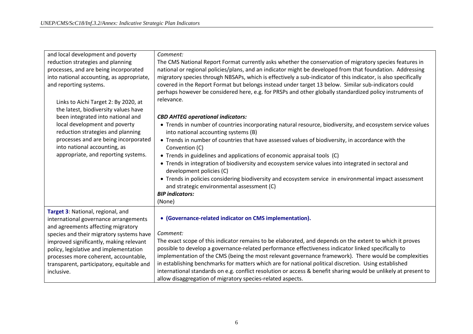| and local development and poverty<br>reduction strategies and planning<br>processes, and are being incorporated<br>into national accounting, as appropriate,<br>and reporting systems.<br>Links to Aichi Target 2: By 2020, at<br>the latest, biodiversity values have<br>been integrated into national and<br>local development and poverty<br>reduction strategies and planning<br>processes and are being incorporated<br>into national accounting, as<br>appropriate, and reporting systems. | Comment:<br>The CMS National Report Format currently asks whether the conservation of migratory species features in<br>national or regional policies/plans, and an indicator might be developed from that foundation. Addressing<br>migratory species through NBSAPs, which is effectively a sub-indicator of this indicator, is also specifically<br>covered in the Report Format but belongs instead under target 13 below. Similar sub-indicators could<br>perhaps however be considered here, e.g. for PRSPs and other globally standardized policy instruments of<br>relevance.<br><b>CBD AHTEG operational indicators:</b><br>• Trends in number of countries incorporating natural resource, biodiversity, and ecosystem service values<br>into national accounting systems (B)<br>• Trends in number of countries that have assessed values of biodiversity, in accordance with the<br>Convention (C)<br>• Trends in guidelines and applications of economic appraisal tools (C)<br>• Trends in integration of biodiversity and ecosystem service values into integrated in sectoral and<br>development policies (C)<br>• Trends in policies considering biodiversity and ecosystem service in environmental impact assessment<br>and strategic environmental assessment (C) |
|--------------------------------------------------------------------------------------------------------------------------------------------------------------------------------------------------------------------------------------------------------------------------------------------------------------------------------------------------------------------------------------------------------------------------------------------------------------------------------------------------|--------------------------------------------------------------------------------------------------------------------------------------------------------------------------------------------------------------------------------------------------------------------------------------------------------------------------------------------------------------------------------------------------------------------------------------------------------------------------------------------------------------------------------------------------------------------------------------------------------------------------------------------------------------------------------------------------------------------------------------------------------------------------------------------------------------------------------------------------------------------------------------------------------------------------------------------------------------------------------------------------------------------------------------------------------------------------------------------------------------------------------------------------------------------------------------------------------------------------------------------------------------------------------------|
|                                                                                                                                                                                                                                                                                                                                                                                                                                                                                                  | <b>BIP</b> indicators:<br>(None)                                                                                                                                                                                                                                                                                                                                                                                                                                                                                                                                                                                                                                                                                                                                                                                                                                                                                                                                                                                                                                                                                                                                                                                                                                                     |
| Target 3: National, regional, and<br>international governance arrangements<br>and agreements affecting migratory<br>species and their migratory systems have<br>improved significantly, making relevant<br>policy, legislative and implementation<br>processes more coherent, accountable,<br>transparent, participatory, equitable and<br>inclusive.                                                                                                                                            | • (Governance-related indicator on CMS implementation).<br>Comment:<br>The exact scope of this indicator remains to be elaborated, and depends on the extent to which it proves<br>possible to develop a governance-related performance effectiveness indicator linked specifically to<br>implementation of the CMS (being the most relevant governance framework). There would be complexities<br>in establishing benchmarks for matters which are for national political discretion. Using established<br>international standards on e.g. conflict resolution or access & benefit sharing would be unlikely at present to<br>allow disaggregation of migratory species-related aspects.                                                                                                                                                                                                                                                                                                                                                                                                                                                                                                                                                                                            |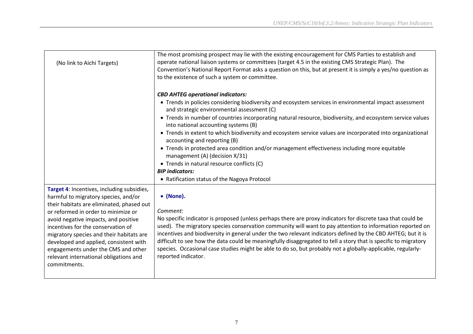| (No link to Aichi Targets)                                                                                                                                                                                                                                                                                                                                                                                                                  | The most promising prospect may lie with the existing encouragement for CMS Parties to establish and<br>operate national liaison systems or committees (target 4.5 in the existing CMS Strategic Plan). The<br>Convention's National Report Format asks a question on this, but at present it is simply a yes/no question as<br>to the existence of such a system or committee.                                                                                                                                                                                                                                                                                                                                                                                  |
|---------------------------------------------------------------------------------------------------------------------------------------------------------------------------------------------------------------------------------------------------------------------------------------------------------------------------------------------------------------------------------------------------------------------------------------------|------------------------------------------------------------------------------------------------------------------------------------------------------------------------------------------------------------------------------------------------------------------------------------------------------------------------------------------------------------------------------------------------------------------------------------------------------------------------------------------------------------------------------------------------------------------------------------------------------------------------------------------------------------------------------------------------------------------------------------------------------------------|
|                                                                                                                                                                                                                                                                                                                                                                                                                                             | <b>CBD AHTEG operational indicators:</b><br>• Trends in policies considering biodiversity and ecosystem services in environmental impact assessment<br>and strategic environmental assessment (C)<br>• Trends in number of countries incorporating natural resource, biodiversity, and ecosystem service values<br>into national accounting systems (B)<br>• Trends in extent to which biodiversity and ecosystem service values are incorporated into organizational<br>accounting and reporting (B)<br>• Trends in protected area condition and/or management effectiveness including more equitable<br>management (A) (decision X/31)<br>• Trends in natural resource conflicts (C)<br><b>BIP</b> indicators:<br>• Ratification status of the Nagoya Protocol |
| Target 4: Incentives, including subsidies,<br>harmful to migratory species, and/or<br>their habitats are eliminated, phased out<br>or reformed in order to minimize or<br>avoid negative impacts, and positive<br>incentives for the conservation of<br>migratory species and their habitats are<br>developed and applied, consistent with<br>engagements under the CMS and other<br>relevant international obligations and<br>commitments. | • (None).<br>Comment:<br>No specific indicator is proposed (unless perhaps there are proxy indicators for discrete taxa that could be<br>used). The migratory species conservation community will want to pay attention to information reported on<br>incentives and biodiversity in general under the two relevant indicators defined by the CBD AHTEG; but it is<br>difficult to see how the data could be meaningfully disaggregated to tell a story that is specific to migratory<br>species. Occasional case studies might be able to do so, but probably not a globally-applicable, regularly-<br>reported indicator.                                                                                                                                      |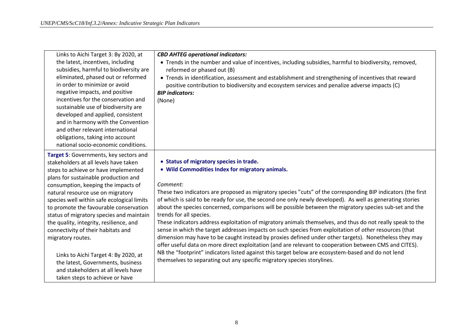| Links to Aichi Target 3: By 2020, at       | <b>CBD AHTEG operational indicators:</b>                                                                     |
|--------------------------------------------|--------------------------------------------------------------------------------------------------------------|
| the latest, incentives, including          | • Trends in the number and value of incentives, including subsidies, harmful to biodiversity, removed,       |
| subsidies, harmful to biodiversity are     | reformed or phased out (B)                                                                                   |
| eliminated, phased out or reformed         | • Trends in identification, assessment and establishment and strengthening of incentives that reward         |
| in order to minimize or avoid              | positive contribution to biodiversity and ecosystem services and penalize adverse impacts (C)                |
| negative impacts, and positive             | <b>BIP</b> indicators:                                                                                       |
| incentives for the conservation and        | (None)                                                                                                       |
| sustainable use of biodiversity are        |                                                                                                              |
| developed and applied, consistent          |                                                                                                              |
| and in harmony with the Convention         |                                                                                                              |
| and other relevant international           |                                                                                                              |
| obligations, taking into account           |                                                                                                              |
| national socio-economic conditions.        |                                                                                                              |
| Target 5: Governments, key sectors and     |                                                                                                              |
| stakeholders at all levels have taken      | • Status of migratory species in trade.                                                                      |
| steps to achieve or have implemented       | • Wild Commodities Index for migratory animals.                                                              |
| plans for sustainable production and       |                                                                                                              |
| consumption, keeping the impacts of        | Comment:                                                                                                     |
| natural resource use on migratory          | These two indicators are proposed as migratory species "cuts" of the corresponding BIP indicators (the first |
| species well within safe ecological limits | of which is said to be ready for use, the second one only newly developed). As well as generating stories    |
| to promote the favourable conservation     | about the species concerned, comparisons will be possible between the migratory species sub-set and the      |
| status of migratory species and maintain   | trends for all species.                                                                                      |
| the quality, integrity, resilience, and    | These indicators address exploitation of migratory animals themselves, and thus do not really speak to the   |
| connectivity of their habitats and         | sense in which the target addresses impacts on such species from exploitation of other resources (that       |
| migratory routes.                          | dimension may have to be caught instead by proxies defined under other targets). Nonetheless they may        |
|                                            | offer useful data on more direct exploitation (and are relevant to cooperation between CMS and CITES).       |
| Links to Aichi Target 4: By 2020, at       | NB the "footprint" indicators listed against this target below are ecosystem-based and do not lend           |
| the latest, Governments, business          | themselves to separating out any specific migratory species storylines.                                      |
| and stakeholders at all levels have        |                                                                                                              |
| taken steps to achieve or have             |                                                                                                              |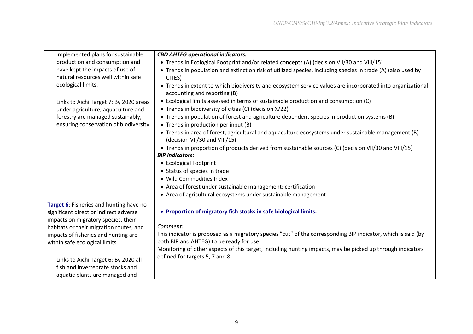| implemented plans for sustainable       | <b>CBD AHTEG operational indicators:</b>                                                                                                   |
|-----------------------------------------|--------------------------------------------------------------------------------------------------------------------------------------------|
| production and consumption and          | • Trends in Ecological Footprint and/or related concepts (A) (decision VII/30 and VIII/15)                                                 |
| have kept the impacts of use of         | • Trends in population and extinction risk of utilized species, including species in trade (A) (also used by                               |
| natural resources well within safe      | CITES)                                                                                                                                     |
| ecological limits.                      | • Trends in extent to which biodiversity and ecosystem service values are incorporated into organizational<br>accounting and reporting (B) |
| Links to Aichi Target 7: By 2020 areas  | • Ecological limits assessed in terms of sustainable production and consumption (C)                                                        |
| under agriculture, aquaculture and      | • Trends in biodiversity of cities (C) (decision X/22)                                                                                     |
| forestry are managed sustainably,       | • Trends in population of forest and agriculture dependent species in production systems (B)                                               |
| ensuring conservation of biodiversity.  | • Trends in production per input (B)                                                                                                       |
|                                         | • Trends in area of forest, agricultural and aquaculture ecosystems under sustainable management (B)<br>(decision VII/30 and VIII/15)      |
|                                         | • Trends in proportion of products derived from sustainable sources (C) (decision VII/30 and VIII/15)                                      |
|                                         | <b>BIP</b> indicators:                                                                                                                     |
|                                         | • Ecological Footprint                                                                                                                     |
|                                         | • Status of species in trade                                                                                                               |
|                                         | • Wild Commodities Index                                                                                                                   |
|                                         | • Area of forest under sustainable management: certification                                                                               |
|                                         | • Area of agricultural ecosystems under sustainable management                                                                             |
| Target 6: Fisheries and hunting have no |                                                                                                                                            |
| significant direct or indirect adverse  | • Proportion of migratory fish stocks in safe biological limits.                                                                           |
| impacts on migratory species, their     |                                                                                                                                            |
| habitats or their migration routes, and | Comment:                                                                                                                                   |
| impacts of fisheries and hunting are    | This indicator is proposed as a migratory species "cut" of the corresponding BIP indicator, which is said (by                              |
| within safe ecological limits.          | both BIP and AHTEG) to be ready for use.                                                                                                   |
|                                         | Monitoring of other aspects of this target, including hunting impacts, may be picked up through indicators                                 |
| Links to Aichi Target 6: By 2020 all    | defined for targets 5, 7 and 8.                                                                                                            |
| fish and invertebrate stocks and        |                                                                                                                                            |
| aquatic plants are managed and          |                                                                                                                                            |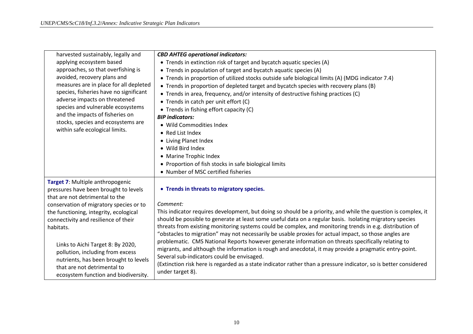| harvested sustainably, legally and      | <b>CBD AHTEG operational indicators:</b>                                                                                                             |
|-----------------------------------------|------------------------------------------------------------------------------------------------------------------------------------------------------|
| applying ecosystem based                | • Trends in extinction risk of target and bycatch aquatic species (A)                                                                                |
| approaches, so that overfishing is      | • Trends in population of target and bycatch aquatic species (A)                                                                                     |
| avoided, recovery plans and             | • Trends in proportion of utilized stocks outside safe biological limits (A) (MDG indicator 7.4)                                                     |
| measures are in place for all depleted  | • Trends in proportion of depleted target and bycatch species with recovery plans (B)                                                                |
| species, fisheries have no significant  | • Trends in area, frequency, and/or intensity of destructive fishing practices (C)                                                                   |
| adverse impacts on threatened           | • Trends in catch per unit effort (C)                                                                                                                |
| species and vulnerable ecosystems       | • Trends in fishing effort capacity (C)                                                                                                              |
| and the impacts of fisheries on         | <b>BIP</b> indicators:                                                                                                                               |
| stocks, species and ecosystems are      | • Wild Commodities Index                                                                                                                             |
| within safe ecological limits.          | • Red List Index                                                                                                                                     |
|                                         | • Living Planet Index                                                                                                                                |
|                                         | • Wild Bird Index                                                                                                                                    |
|                                         | • Marine Trophic Index                                                                                                                               |
|                                         | • Proportion of fish stocks in safe biological limits                                                                                                |
|                                         | • Number of MSC certified fisheries                                                                                                                  |
| Target 7: Multiple anthropogenic        |                                                                                                                                                      |
| pressures have been brought to levels   | • Trends in threats to migratory species.                                                                                                            |
| that are not detrimental to the         |                                                                                                                                                      |
| conservation of migratory species or to | Comment:                                                                                                                                             |
| the functioning, integrity, ecological  | This indicator requires development, but doing so should be a priority, and while the question is complex, it                                        |
| connectivity and resilience of their    | should be possible to generate at least some useful data on a regular basis. Isolating migratory species                                             |
| habitats.                               | threats from existing monitoring systems could be complex, and monitoring trends in e.g. distribution of                                             |
|                                         | "obstacles to migration" may not necessarily be usable proxies for actual impact, so those angles are                                                |
| Links to Aichi Target 8: By 2020,       | problematic. CMS National Reports however generate information on threats specifically relating to                                                   |
| pollution, including from excess        | migrants, and although the information is rough and anecdotal, it may provide a pragmatic entry-point.<br>Several sub-indicators could be envisaged. |
| nutrients, has been brought to levels   | (Extinction risk here is regarded as a state indicator rather than a pressure indicator, so is better considered                                     |
| that are not detrimental to             | under target 8).                                                                                                                                     |
| ecosystem function and biodiversity.    |                                                                                                                                                      |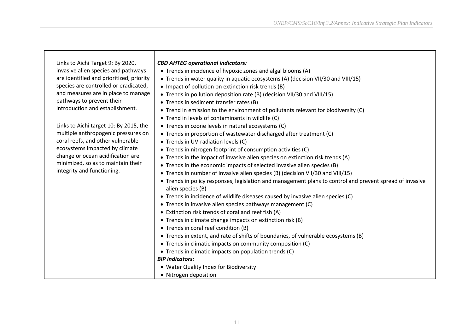| Links to Aichi Target 9: By 2020,        | <b>CBD AHTEG operational indicators:</b>                                                                 |
|------------------------------------------|----------------------------------------------------------------------------------------------------------|
| invasive alien species and pathways      | • Trends in incidence of hypoxic zones and algal blooms (A)                                              |
| are identified and prioritized, priority | • Trends in water quality in aquatic ecosystems (A) (decision VII/30 and VIII/15)                        |
| species are controlled or eradicated,    | • Impact of pollution on extinction risk trends (B)                                                      |
| and measures are in place to manage      | • Trends in pollution deposition rate (B) (decision VII/30 and VIII/15)                                  |
| pathways to prevent their                | • Trends in sediment transfer rates (B)                                                                  |
| introduction and establishment.          | • Trend in emission to the environment of pollutants relevant for biodiversity (C)                       |
|                                          | • Trend in levels of contaminants in wildlife (C)                                                        |
| Links to Aichi target 10: By 2015, the   | • Trends in ozone levels in natural ecosystems (C)                                                       |
| multiple anthropogenic pressures on      | • Trends in proportion of wastewater discharged after treatment (C)                                      |
| coral reefs, and other vulnerable        | • Trends in UV-radiation levels (C)                                                                      |
| ecosystems impacted by climate           | • Trends in nitrogen footprint of consumption activities (C)                                             |
| change or ocean acidification are        | • Trends in the impact of invasive alien species on extinction risk trends (A)                           |
| minimized, so as to maintain their       | • Trends in the economic impacts of selected invasive alien species (B)                                  |
| integrity and functioning.               | • Trends in number of invasive alien species (B) (decision VII/30 and VIII/15)                           |
|                                          | • Trends in policy responses, legislation and management plans to control and prevent spread of invasive |
|                                          | alien species (B)                                                                                        |
|                                          | • Trends in incidence of wildlife diseases caused by invasive alien species (C)                          |
|                                          | • Trends in invasive alien species pathways management (C)                                               |
|                                          | • Extinction risk trends of coral and reef fish (A)                                                      |
|                                          | • Trends in climate change impacts on extinction risk (B)                                                |
|                                          | • Trends in coral reef condition (B)                                                                     |
|                                          | • Trends in extent, and rate of shifts of boundaries, of vulnerable ecosystems (B)                       |
|                                          | • Trends in climatic impacts on community composition (C)                                                |
|                                          | • Trends in climatic impacts on population trends (C)                                                    |
|                                          | <b>BIP</b> indicators:                                                                                   |
|                                          | • Water Quality Index for Biodiversity                                                                   |
|                                          | • Nitrogen deposition                                                                                    |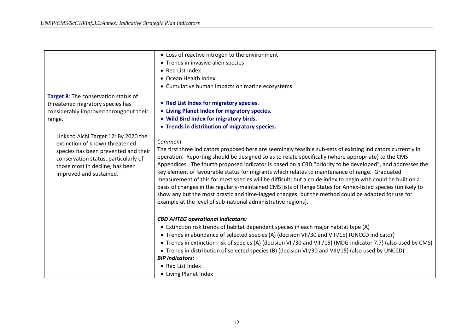|                                                                                                                                                                                                                       | • Loss of reactive nitrogen to the environment                                                                                                                                                                                                                                                                                                                                                                                                                                                                                                                                                                                                                                                                                                                                                                                                      |
|-----------------------------------------------------------------------------------------------------------------------------------------------------------------------------------------------------------------------|-----------------------------------------------------------------------------------------------------------------------------------------------------------------------------------------------------------------------------------------------------------------------------------------------------------------------------------------------------------------------------------------------------------------------------------------------------------------------------------------------------------------------------------------------------------------------------------------------------------------------------------------------------------------------------------------------------------------------------------------------------------------------------------------------------------------------------------------------------|
|                                                                                                                                                                                                                       | • Trends in invasive alien species                                                                                                                                                                                                                                                                                                                                                                                                                                                                                                                                                                                                                                                                                                                                                                                                                  |
|                                                                                                                                                                                                                       | • Red List Index                                                                                                                                                                                                                                                                                                                                                                                                                                                                                                                                                                                                                                                                                                                                                                                                                                    |
|                                                                                                                                                                                                                       | • Ocean Health Index                                                                                                                                                                                                                                                                                                                                                                                                                                                                                                                                                                                                                                                                                                                                                                                                                                |
|                                                                                                                                                                                                                       | • Cumulative human impacts on marine ecosystems                                                                                                                                                                                                                                                                                                                                                                                                                                                                                                                                                                                                                                                                                                                                                                                                     |
| Target 8: The conservation status of<br>threatened migratory species has<br>considerably improved throughout their<br>range.                                                                                          | • Red List Index for migratory species.<br>• Living Planet Index for migratory species.<br>. Wild Bird Index for migratory birds.<br>• Trends in distribution of migratory species.                                                                                                                                                                                                                                                                                                                                                                                                                                                                                                                                                                                                                                                                 |
| Links to Aichi Target 12: By 2020 the<br>extinction of known threatened<br>species has been prevented and their<br>conservation status, particularly of<br>those most in decline, has been<br>improved and sustained. | Comment<br>The first three indicators proposed here are seemingly feasible sub-sets of existing indicators currently in<br>operation. Reporting should be designed so as to relate specifically (where appropriate) to the CMS<br>Appendices. The fourth proposed indicator is based on a CBD "priority to be developed", and addresses the<br>key element of favourable status for migrants which relates to maintenance of range. Graduated<br>measurement of this for most species will be difficult; but a crude index to begin with could be built on a<br>basis of changes in the regularly-maintained CMS lists of Range States for Annex-listed species (unlikely to<br>show any but the most drastic and time-lagged changes; but the method could be adapted for use for<br>example at the level of sub-national administrative regions). |
|                                                                                                                                                                                                                       | <b>CBD AHTEG operational indicators:</b><br>• Extinction risk trends of habitat dependent species in each major habitat type (A)<br>• Trends in abundance of selected species (A) (decision VII/30 and VIII/15) (UNCCD indicator)<br>• Trends in extinction risk of species (A) (decision VII/30 and VIII/15) (MDG indicator 7.7) (also used by CMS)<br>• Trends in distribution of selected species (B) (decision VII/30 and VIII/15) (also used by UNCCD)<br><b>BIP</b> indicators:<br>• Red List Index<br>• Living Planet Index                                                                                                                                                                                                                                                                                                                  |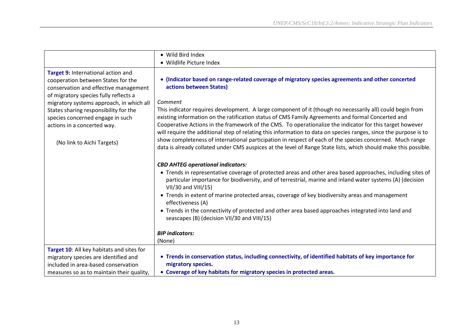|                                                                                                                                                                       | • Wild Bird Index                                                                                                                                                                                                                                                                                                                                                                                                                                         |
|-----------------------------------------------------------------------------------------------------------------------------------------------------------------------|-----------------------------------------------------------------------------------------------------------------------------------------------------------------------------------------------------------------------------------------------------------------------------------------------------------------------------------------------------------------------------------------------------------------------------------------------------------|
|                                                                                                                                                                       | • Wildlife Picture Index                                                                                                                                                                                                                                                                                                                                                                                                                                  |
| Target 9: International action and<br>cooperation between States for the<br>conservation and effective management<br>of migratory species fully reflects a            | (Indicator based on range-related coverage of migratory species agreements and other concerted<br>$\bullet$<br>actions between States)                                                                                                                                                                                                                                                                                                                    |
| migratory systems approach, in which all<br>States sharing responsibility for the<br>species concerned engage in such<br>actions in a concerted way.                  | Comment<br>This indicator requires development. A large component of it (though no necessarily all) could begin from<br>existing information on the ratification status of CMS Family Agreements and formal Concerted and<br>Cooperative Actions in the framework of the CMS. To operationalize the indicator for this target however<br>will require the additional step of relating this information to data on species ranges, since the purpose is to |
| (No link to Aichi Targets)                                                                                                                                            | show completeness of international participation in respect of each of the species concerned. Much range<br>data is already collated under CMS auspices at the level of Range State lists, which should make this possible.                                                                                                                                                                                                                               |
|                                                                                                                                                                       | <b>CBD AHTEG operational indicators:</b>                                                                                                                                                                                                                                                                                                                                                                                                                  |
|                                                                                                                                                                       | • Trends in representative coverage of protected areas and other area based approaches, including sites of<br>particular importance for biodiversity, and of terrestrial, marine and inland water systems (A) (decision<br>VII/30 and VIII/15)                                                                                                                                                                                                            |
|                                                                                                                                                                       | • Trends in extent of marine protected areas, coverage of key biodiversity areas and management<br>effectiveness (A)                                                                                                                                                                                                                                                                                                                                      |
|                                                                                                                                                                       | • Trends in the connectivity of protected and other area based approaches integrated into land and<br>seascapes (B) (decision VII/30 and VIII/15)                                                                                                                                                                                                                                                                                                         |
|                                                                                                                                                                       | <b>BIP</b> indicators:                                                                                                                                                                                                                                                                                                                                                                                                                                    |
|                                                                                                                                                                       | (None)                                                                                                                                                                                                                                                                                                                                                                                                                                                    |
| Target 10: All key habitats and sites for<br>migratory species are identified and<br>included in area-based conservation<br>measures so as to maintain their quality, | • Trends in conservation status, including connectivity, of identified habitats of key importance for<br>migratory species.<br>• Coverage of key habitats for migratory species in protected areas.                                                                                                                                                                                                                                                       |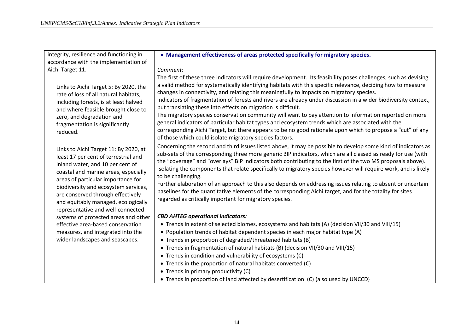| • Management effectiveness of areas protected specifically for migratory species.                                                                                                                                                                                                                                                                                                                                                                                                                                                                                                                                                                                                                                                                                                                                                                                                                         |
|-----------------------------------------------------------------------------------------------------------------------------------------------------------------------------------------------------------------------------------------------------------------------------------------------------------------------------------------------------------------------------------------------------------------------------------------------------------------------------------------------------------------------------------------------------------------------------------------------------------------------------------------------------------------------------------------------------------------------------------------------------------------------------------------------------------------------------------------------------------------------------------------------------------|
|                                                                                                                                                                                                                                                                                                                                                                                                                                                                                                                                                                                                                                                                                                                                                                                                                                                                                                           |
| Comment:                                                                                                                                                                                                                                                                                                                                                                                                                                                                                                                                                                                                                                                                                                                                                                                                                                                                                                  |
| The first of these three indicators will require development. Its feasibility poses challenges, such as devising<br>a valid method for systematically identifying habitats with this specific relevance, deciding how to measure<br>changes in connectivity, and relating this meaningfully to impacts on migratory species.<br>Indicators of fragmentation of forests and rivers are already under discussion in a wider biodiversity context,<br>but translating these into effects on migration is difficult.<br>The migratory species conservation community will want to pay attention to information reported on more<br>general indicators of particular habitat types and ecosystem trends which are associated with the<br>corresponding Aichi Target, but there appears to be no good rationale upon which to propose a "cut" of any<br>of those which could isolate migratory species factors. |
| Concerning the second and third issues listed above, it may be possible to develop some kind of indicators as<br>sub-sets of the corresponding three more generic BIP indicators, which are all classed as ready for use (with<br>the "coverage" and "overlays" BIP indicators both contributing to the first of the two MS proposals above).<br>Isolating the components that relate specifically to migratory species however will require work, and is likely<br>to be challenging.<br>Further elaboration of an approach to this also depends on addressing issues relating to absent or uncertain<br>baselines for the quantitative elements of the corresponding Aichi target, and for the totality for sites<br>regarded as critically important for migratory species.                                                                                                                            |
| <b>CBD AHTEG operational indicators:</b>                                                                                                                                                                                                                                                                                                                                                                                                                                                                                                                                                                                                                                                                                                                                                                                                                                                                  |
| • Trends in extent of selected biomes, ecosystems and habitats (A) (decision VII/30 and VIII/15)<br>• Population trends of habitat dependent species in each major habitat type (A)<br>• Trends in proportion of degraded/threatened habitats (B)<br>• Trends in fragmentation of natural habitats (B) (decision VII/30 and VIII/15)<br>• Trends in condition and vulnerability of ecosystems (C)<br>• Trends in the proportion of natural habitats converted (C)<br>• Trends in primary productivity (C)<br>• Trends in proportion of land affected by desertification (C) (also used by UNCCD)                                                                                                                                                                                                                                                                                                          |
|                                                                                                                                                                                                                                                                                                                                                                                                                                                                                                                                                                                                                                                                                                                                                                                                                                                                                                           |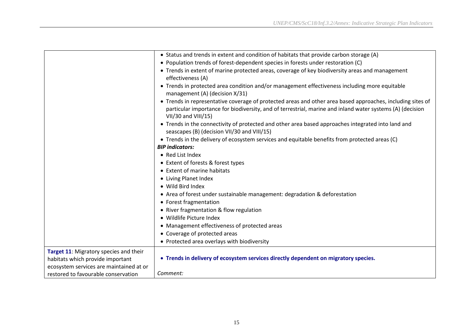|                                                                            | • Status and trends in extent and condition of habitats that provide carbon storage (A)                                                                                                                                                        |
|----------------------------------------------------------------------------|------------------------------------------------------------------------------------------------------------------------------------------------------------------------------------------------------------------------------------------------|
|                                                                            | • Population trends of forest-dependent species in forests under restoration (C)                                                                                                                                                               |
|                                                                            | • Trends in extent of marine protected areas, coverage of key biodiversity areas and management<br>effectiveness (A)                                                                                                                           |
|                                                                            | • Trends in protected area condition and/or management effectiveness including more equitable<br>management (A) (decision X/31)                                                                                                                |
|                                                                            | • Trends in representative coverage of protected areas and other area based approaches, including sites of<br>particular importance for biodiversity, and of terrestrial, marine and inland water systems (A) (decision<br>VII/30 and VIII/15) |
|                                                                            | • Trends in the connectivity of protected and other area based approaches integrated into land and<br>seascapes (B) (decision VII/30 and VIII/15)                                                                                              |
|                                                                            | • Trends in the delivery of ecosystem services and equitable benefits from protected areas (C)<br><b>BIP</b> indicators:                                                                                                                       |
|                                                                            | • Red List Index                                                                                                                                                                                                                               |
|                                                                            | • Extent of forests & forest types                                                                                                                                                                                                             |
|                                                                            | • Extent of marine habitats                                                                                                                                                                                                                    |
|                                                                            | • Living Planet Index                                                                                                                                                                                                                          |
|                                                                            | • Wild Bird Index                                                                                                                                                                                                                              |
|                                                                            | • Area of forest under sustainable management: degradation & deforestation                                                                                                                                                                     |
|                                                                            | • Forest fragmentation                                                                                                                                                                                                                         |
|                                                                            | • River fragmentation & flow regulation                                                                                                                                                                                                        |
|                                                                            | • Wildlife Picture Index                                                                                                                                                                                                                       |
|                                                                            | • Management effectiveness of protected areas                                                                                                                                                                                                  |
|                                                                            | • Coverage of protected areas                                                                                                                                                                                                                  |
|                                                                            | • Protected area overlays with biodiversity                                                                                                                                                                                                    |
| Target 11: Migratory species and their<br>habitats which provide important | • Trends in delivery of ecosystem services directly dependent on migratory species.                                                                                                                                                            |
| ecosystem services are maintained at or                                    |                                                                                                                                                                                                                                                |
| restored to favourable conservation                                        | Comment:                                                                                                                                                                                                                                       |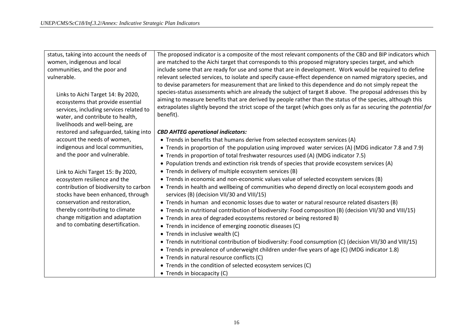| status, taking into account the needs of                                     | The proposed indicator is a composite of the most relevant components of the CBD and BIP indicators which                                      |
|------------------------------------------------------------------------------|------------------------------------------------------------------------------------------------------------------------------------------------|
| women, indigenous and local                                                  | are matched to the Aichi target that corresponds to this proposed migratory species target, and which                                          |
| communities, and the poor and                                                | include some that are ready for use and some that are in development. Work would be required to define                                         |
| vulnerable.                                                                  | relevant selected services, to isolate and specify cause-effect dependence on named migratory species, and                                     |
|                                                                              | to devise parameters for measurement that are linked to this dependence and do not simply repeat the                                           |
| Links to Aichi Target 14: By 2020,                                           | species-status assessments which are already the subject of target 8 above. The proposal addresses this by                                     |
| ecosystems that provide essential                                            | aiming to measure benefits that are derived by people rather than the status of the species, although this                                     |
| services, including services related to                                      | extrapolates slightly beyond the strict scope of the target (which goes only as far as securing the potential for                              |
| water, and contribute to health,                                             | benefit).                                                                                                                                      |
|                                                                              |                                                                                                                                                |
| livelihoods and well-being, are                                              |                                                                                                                                                |
| restored and safeguarded, taking into                                        | <b>CBD AHTEG operational indicators:</b>                                                                                                       |
| account the needs of women,                                                  | • Trends in benefits that humans derive from selected ecosystem services (A)                                                                   |
| indigenous and local communities,                                            | • Trends in proportion of the population using improved water services (A) (MDG indicator 7.8 and 7.9)                                         |
| and the poor and vulnerable.                                                 | • Trends in proportion of total freshwater resources used (A) (MDG indicator 7.5)                                                              |
|                                                                              | • Population trends and extinction risk trends of species that provide ecosystem services (A)                                                  |
| Link to Aichi Target 15: By 2020,                                            | • Trends in delivery of multiple ecosystem services (B)                                                                                        |
| ecosystem resilience and the                                                 | • Trends in economic and non-economic values value of selected ecosystem services (B)                                                          |
| contribution of biodiversity to carbon<br>stocks have been enhanced, through | • Trends in health and wellbeing of communities who depend directly on local ecosystem goods and<br>services (B) (decision VII/30 and VIII/15) |
| conservation and restoration,                                                | • Trends in human and economic losses due to water or natural resource related disasters (B)                                                   |
|                                                                              |                                                                                                                                                |
| thereby contributing to climate                                              | • Trends in nutritional contribution of biodiversity: Food composition (B) (decision VII/30 and VIII/15)                                       |
| change mitigation and adaptation                                             | • Trends in area of degraded ecosystems restored or being restored B)                                                                          |
| and to combating desertification.                                            | • Trends in incidence of emerging zoonotic diseases (C)                                                                                        |
|                                                                              | • Trends in inclusive wealth (C)                                                                                                               |
|                                                                              | • Trends in nutritional contribution of biodiversity: Food consumption (C) (decision VII/30 and VIII/15)                                       |
|                                                                              | • Trends in prevalence of underweight children under-five years of age (C) (MDG indicator 1.8)                                                 |
|                                                                              | • Trends in natural resource conflicts (C)                                                                                                     |
|                                                                              | • Trends in the condition of selected ecosystem services (C)                                                                                   |
|                                                                              | • Trends in biocapacity (C)                                                                                                                    |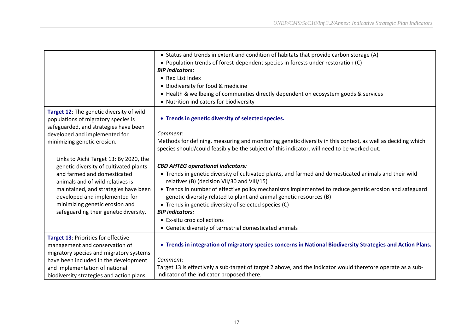|                                           | • Status and trends in extent and condition of habitats that provide carbon storage (A)                      |
|-------------------------------------------|--------------------------------------------------------------------------------------------------------------|
|                                           | • Population trends of forest-dependent species in forests under restoration (C)                             |
|                                           | <b>BIP</b> indicators:                                                                                       |
|                                           | • Red List Index                                                                                             |
|                                           | • Biodiversity for food & medicine                                                                           |
|                                           | • Health & wellbeing of communities directly dependent on ecosystem goods & services                         |
|                                           | • Nutrition indicators for biodiversity                                                                      |
| Target 12: The genetic diversity of wild  |                                                                                                              |
| populations of migratory species is       | • Trends in genetic diversity of selected species.                                                           |
| safeguarded, and strategies have been     |                                                                                                              |
| developed and implemented for             | Comment:                                                                                                     |
| minimizing genetic erosion.               | Methods for defining, measuring and monitoring genetic diversity in this context, as well as deciding which  |
|                                           | species should/could feasibly be the subject of this indicator, will need to be worked out.                  |
| Links to Aichi Target 13: By 2020, the    |                                                                                                              |
| genetic diversity of cultivated plants    | <b>CBD AHTEG operational indicators:</b>                                                                     |
| and farmed and domesticated               | • Trends in genetic diversity of cultivated plants, and farmed and domesticated animals and their wild       |
| animals and of wild relatives is          | relatives (B) (decision VII/30 and VIII/15)                                                                  |
| maintained, and strategies have been      | • Trends in number of effective policy mechanisms implemented to reduce genetic erosion and safeguard        |
| developed and implemented for             | genetic diversity related to plant and animal genetic resources (B)                                          |
| minimizing genetic erosion and            | • Trends in genetic diversity of selected species (C)                                                        |
| safeguarding their genetic diversity.     | <b>BIP</b> indicators:                                                                                       |
|                                           | • Ex-situ crop collections                                                                                   |
|                                           | • Genetic diversity of terrestrial domesticated animals                                                      |
| Target 13: Priorities for effective       |                                                                                                              |
| management and conservation of            | . Trends in integration of migratory species concerns in National Biodiversity Strategies and Action Plans.  |
| migratory species and migratory systems   |                                                                                                              |
| have been included in the development     | Comment:                                                                                                     |
| and implementation of national            | Target 13 is effectively a sub-target of target 2 above, and the indicator would therefore operate as a sub- |
| biodiversity strategies and action plans, | indicator of the indicator proposed there.                                                                   |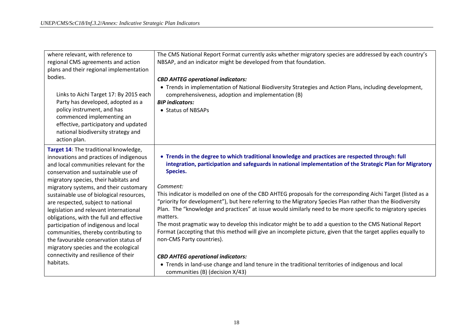| where relevant, with reference to<br>regional CMS agreements and action | The CMS National Report Format currently asks whether migratory species are addressed by each country's<br>NBSAP, and an indicator might be developed from that foundation. |
|-------------------------------------------------------------------------|-----------------------------------------------------------------------------------------------------------------------------------------------------------------------------|
| plans and their regional implementation<br>bodies.                      |                                                                                                                                                                             |
|                                                                         | <b>CBD AHTEG operational indicators:</b>                                                                                                                                    |
|                                                                         | • Trends in implementation of National Biodiversity Strategies and Action Plans, including development,                                                                     |
| Links to Aichi Target 17: By 2015 each                                  | comprehensiveness, adoption and implementation (B)                                                                                                                          |
| Party has developed, adopted as a                                       | <b>BIP</b> indicators:                                                                                                                                                      |
| policy instrument, and has<br>commenced implementing an                 | • Status of NBSAPs                                                                                                                                                          |
| effective, participatory and updated                                    |                                                                                                                                                                             |
| national biodiversity strategy and                                      |                                                                                                                                                                             |
| action plan.                                                            |                                                                                                                                                                             |
| Target 14: The traditional knowledge,                                   |                                                                                                                                                                             |
| innovations and practices of indigenous                                 | • Trends in the degree to which traditional knowledge and practices are respected through: full                                                                             |
| and local communities relevant for the                                  | integration, participation and safeguards in national implementation of the Strategic Plan for Migratory                                                                    |
| conservation and sustainable use of                                     | <b>Species.</b>                                                                                                                                                             |
| migratory species, their habitats and                                   |                                                                                                                                                                             |
| migratory systems, and their customary                                  | Comment:                                                                                                                                                                    |
| sustainable use of biological resources,                                | This indicator is modelled on one of the CBD AHTEG proposals for the corresponding Aichi Target (listed as a                                                                |
| are respected, subject to national                                      | "priority for development"), but here referring to the Migratory Species Plan rather than the Biodiversity                                                                  |
| legislation and relevant international                                  | Plan. The "knowledge and practices" at issue would similarly need to be more specific to migratory species                                                                  |
| obligations, with the full and effective                                | matters.                                                                                                                                                                    |
| participation of indigenous and local                                   | The most pragmatic way to develop this indicator might be to add a question to the CMS National Report                                                                      |
| communities, thereby contributing to                                    | Format (accepting that this method will give an incomplete picture, given that the target applies equally to                                                                |
| the favourable conservation status of                                   | non-CMS Party countries).                                                                                                                                                   |
| migratory species and the ecological                                    |                                                                                                                                                                             |
| connectivity and resilience of their<br>habitats.                       | <b>CBD AHTEG operational indicators:</b>                                                                                                                                    |
|                                                                         | • Trends in land-use change and land tenure in the traditional territories of indigenous and local<br>communities (B) (decision X/43)                                       |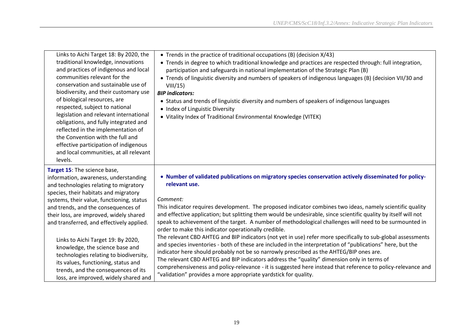| Links to Aichi Target 18: By 2020, the<br>traditional knowledge, innovations<br>and practices of indigenous and local<br>communities relevant for the<br>conservation and sustainable use of<br>biodiversity, and their customary use<br>of biological resources, are<br>respected, subject to national<br>legislation and relevant international<br>obligations, and fully integrated and<br>reflected in the implementation of<br>the Convention with the full and<br>effective participation of indigenous<br>and local communities, at all relevant<br>levels. | • Trends in the practice of traditional occupations (B) (decision $X/43$ )<br>• Trends in degree to which traditional knowledge and practices are respected through: full integration,<br>participation and safeguards in national implementation of the Strategic Plan (B)<br>• Trends of linguistic diversity and numbers of speakers of indigenous languages (B) (decision VII/30 and<br>VIII/15<br><b>BIP</b> indicators:<br>• Status and trends of linguistic diversity and numbers of speakers of indigenous languages<br>• Index of Linguistic Diversity<br>• Vitality Index of Traditional Environmental Knowledge (VITEK) |
|--------------------------------------------------------------------------------------------------------------------------------------------------------------------------------------------------------------------------------------------------------------------------------------------------------------------------------------------------------------------------------------------------------------------------------------------------------------------------------------------------------------------------------------------------------------------|------------------------------------------------------------------------------------------------------------------------------------------------------------------------------------------------------------------------------------------------------------------------------------------------------------------------------------------------------------------------------------------------------------------------------------------------------------------------------------------------------------------------------------------------------------------------------------------------------------------------------------|
| Target 15: The science base,<br>information, awareness, understanding<br>and technologies relating to migratory<br>species, their habitats and migratory<br>systems, their value, functioning, status<br>and trends, and the consequences of<br>their loss, are improved, widely shared<br>and transferred, and effectively applied.                                                                                                                                                                                                                               | • Number of validated publications on migratory species conservation actively disseminated for policy-<br>relevant use.<br>Comment:<br>This indicator requires development. The proposed indicator combines two ideas, namely scientific quality<br>and effective application; but splitting them would be undesirable, since scientific quality by itself will not<br>speak to achievement of the target. A number of methodological challenges will need to be surmounted in<br>order to make this indicator operationally credible.                                                                                             |
| Links to Aichi Target 19: By 2020,<br>knowledge, the science base and<br>technologies relating to biodiversity,<br>its values, functioning, status and<br>trends, and the consequences of its<br>loss, are improved, widely shared and                                                                                                                                                                                                                                                                                                                             | The relevant CBD AHTEG and BIP indicators (not yet in use) refer more specifically to sub-global assessments<br>and species inventories - both of these are included in the interpretation of "publications" here, but the<br>indicator here should probably not be so narrowly prescribed as the AHTEG/BIP ones are.<br>The relevant CBD AHTEG and BIP indicators address the "quality" dimension only in terms of<br>comprehensiveness and policy-relevance - it is suggested here instead that reference to policy-relevance and<br>"validation" provides a more appropriate yardstick for quality.                             |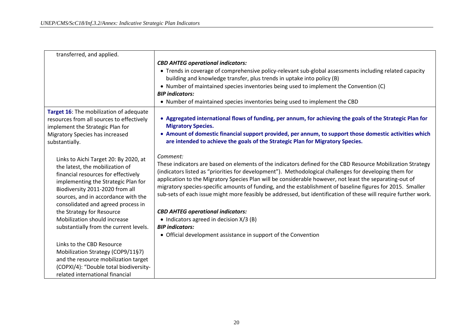| transferred, and applied.                                                                                                                                                                                                                                                                                                           |                                                                                                                                                                                                                                                                                                                                                                                                                                                                                                                                                                                                                                                                        |
|-------------------------------------------------------------------------------------------------------------------------------------------------------------------------------------------------------------------------------------------------------------------------------------------------------------------------------------|------------------------------------------------------------------------------------------------------------------------------------------------------------------------------------------------------------------------------------------------------------------------------------------------------------------------------------------------------------------------------------------------------------------------------------------------------------------------------------------------------------------------------------------------------------------------------------------------------------------------------------------------------------------------|
|                                                                                                                                                                                                                                                                                                                                     | <b>CBD AHTEG operational indicators:</b><br>• Trends in coverage of comprehensive policy-relevant sub-global assessments including related capacity<br>building and knowledge transfer, plus trends in uptake into policy (B)<br>• Number of maintained species inventories being used to implement the Convention (C)<br><b>BIP</b> indicators:<br>• Number of maintained species inventories being used to implement the CBD                                                                                                                                                                                                                                         |
| Target 16: The mobilization of adequate<br>resources from all sources to effectively<br>implement the Strategic Plan for<br>Migratory Species has increased<br>substantially.                                                                                                                                                       | • Aggregated international flows of funding, per annum, for achieving the goals of the Strategic Plan for<br><b>Migratory Species.</b><br>• Amount of domestic financial support provided, per annum, to support those domestic activities which<br>are intended to achieve the goals of the Strategic Plan for Migratory Species.                                                                                                                                                                                                                                                                                                                                     |
| Links to Aichi Target 20: By 2020, at<br>the latest, the mobilization of<br>financial resources for effectively<br>implementing the Strategic Plan for<br>Biodiversity 2011-2020 from all<br>sources, and in accordance with the<br>consolidated and agreed process in<br>the Strategy for Resource<br>Mobilization should increase | Comment:<br>These indicators are based on elements of the indicators defined for the CBD Resource Mobilization Strategy<br>(indicators listed as "priorities for development"). Methodological challenges for developing them for<br>application to the Migratory Species Plan will be considerable however, not least the separating-out of<br>migratory species-specific amounts of funding, and the establishment of baseline figures for 2015. Smaller<br>sub-sets of each issue might more feasibly be addressed, but identification of these will require further work.<br><b>CBD AHTEG operational indicators:</b><br>• Indicators agreed in decision $X/3$ (B) |
| substantially from the current levels.<br>Links to the CBD Resource<br>Mobilization Strategy (COP9/11§7)<br>and the resource mobilization target<br>(COPXI/4): "Double total biodiversity-<br>related international financial                                                                                                       | <b>BIP</b> indicators:<br>• Official development assistance in support of the Convention                                                                                                                                                                                                                                                                                                                                                                                                                                                                                                                                                                               |